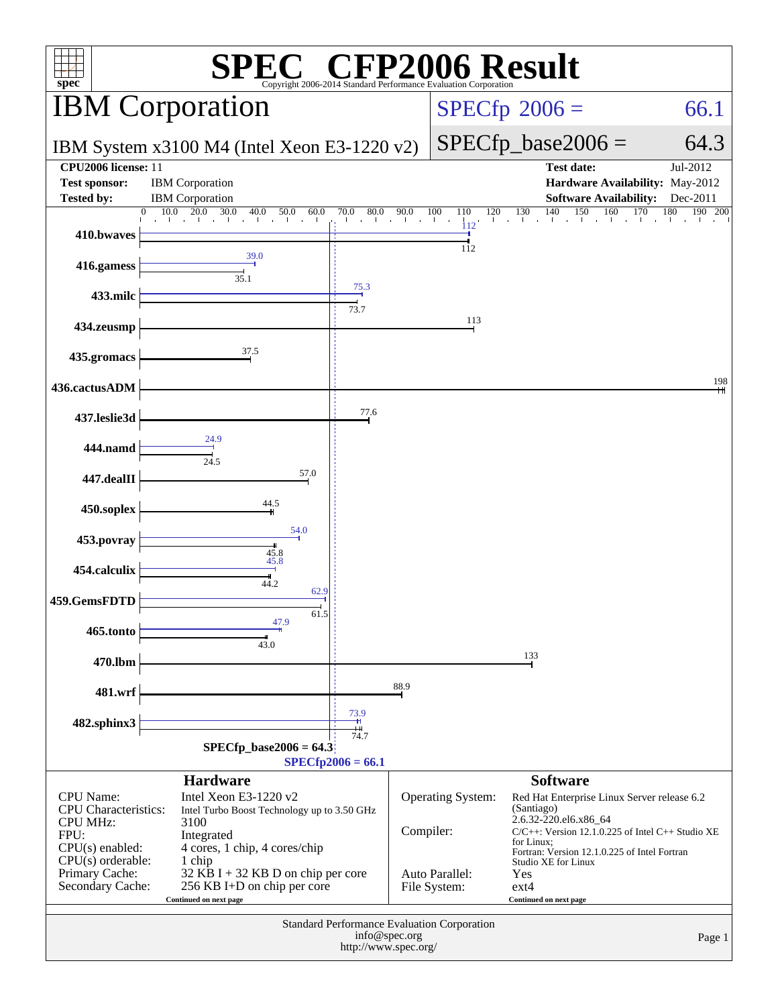| $\mathbb{C}^{\scriptscriptstyle \otimes}$ CFP2006 Result<br>$spec^*$<br>Copyright 2006-2014 Standard Performance Evaluation Corporation                      |                                                                                                                                                                                                                                                             |                            |                             |                                                      |                                                                                                                                                                                                                                                                                                  |                                    |  |
|--------------------------------------------------------------------------------------------------------------------------------------------------------------|-------------------------------------------------------------------------------------------------------------------------------------------------------------------------------------------------------------------------------------------------------------|----------------------------|-----------------------------|------------------------------------------------------|--------------------------------------------------------------------------------------------------------------------------------------------------------------------------------------------------------------------------------------------------------------------------------------------------|------------------------------------|--|
|                                                                                                                                                              | <b>IBM</b> Corporation                                                                                                                                                                                                                                      |                            |                             |                                                      | $SPECfp^{\circ}2006 =$                                                                                                                                                                                                                                                                           | 66.1                               |  |
|                                                                                                                                                              | IBM System x3100 M4 (Intel Xeon E3-1220 v2)                                                                                                                                                                                                                 |                            |                             |                                                      | $SPECfp\_base2006 =$                                                                                                                                                                                                                                                                             | 64.3                               |  |
| CPU2006 license: 11<br><b>Test sponsor:</b><br><b>Tested by:</b>                                                                                             | <b>IBM</b> Corporation<br><b>IBM</b> Corporation                                                                                                                                                                                                            |                            |                             |                                                      | <b>Test date:</b><br>Hardware Availability: May-2012<br><b>Software Availability:</b>                                                                                                                                                                                                            | $\overline{Jul}$ -2012<br>Dec-2011 |  |
|                                                                                                                                                              | 10.0<br>20.0<br>30.0<br>40.0<br>50.0<br>60.0<br>$\Omega$<br><b>College</b>                                                                                                                                                                                  | 80.0<br>70.0               | 90.0<br>and the contract of | 100<br>120<br>110<br>$\mathbf{I}$<br>$\frac{1}{112}$ | 130<br>140<br>150<br>160                                                                                                                                                                                                                                                                         | 170<br>180<br>190 200              |  |
| 410.bwaves                                                                                                                                                   |                                                                                                                                                                                                                                                             |                            |                             | 112                                                  |                                                                                                                                                                                                                                                                                                  |                                    |  |
| 416.gamess                                                                                                                                                   | 39.0<br>35.1                                                                                                                                                                                                                                                |                            |                             |                                                      |                                                                                                                                                                                                                                                                                                  |                                    |  |
| 433.milc                                                                                                                                                     |                                                                                                                                                                                                                                                             | $\frac{75.3}{\phantom{0}}$ |                             |                                                      |                                                                                                                                                                                                                                                                                                  |                                    |  |
| 434.zeusmp                                                                                                                                                   |                                                                                                                                                                                                                                                             | 73.7                       |                             | 113                                                  |                                                                                                                                                                                                                                                                                                  |                                    |  |
| 435.gromacs                                                                                                                                                  | 37.5                                                                                                                                                                                                                                                        |                            |                             |                                                      |                                                                                                                                                                                                                                                                                                  |                                    |  |
| 436.cactusADM                                                                                                                                                |                                                                                                                                                                                                                                                             |                            |                             |                                                      |                                                                                                                                                                                                                                                                                                  | 198                                |  |
| 437.leslie3d                                                                                                                                                 |                                                                                                                                                                                                                                                             | 77.6                       |                             |                                                      |                                                                                                                                                                                                                                                                                                  |                                    |  |
| 444.namd                                                                                                                                                     | 24.9                                                                                                                                                                                                                                                        |                            |                             |                                                      |                                                                                                                                                                                                                                                                                                  |                                    |  |
| 447.dealII                                                                                                                                                   | 24.5<br>57.0                                                                                                                                                                                                                                                |                            |                             |                                                      |                                                                                                                                                                                                                                                                                                  |                                    |  |
| 450.soplex                                                                                                                                                   | 44.5                                                                                                                                                                                                                                                        |                            |                             |                                                      |                                                                                                                                                                                                                                                                                                  |                                    |  |
| 453.povray                                                                                                                                                   | 54.0                                                                                                                                                                                                                                                        |                            |                             |                                                      |                                                                                                                                                                                                                                                                                                  |                                    |  |
| 454.calculix                                                                                                                                                 | $\frac{45.8}{45.8}$                                                                                                                                                                                                                                         |                            |                             |                                                      |                                                                                                                                                                                                                                                                                                  |                                    |  |
| 459.GemsFDTD                                                                                                                                                 | 44.2<br>62.9                                                                                                                                                                                                                                                |                            |                             |                                                      |                                                                                                                                                                                                                                                                                                  |                                    |  |
| 465.tonto                                                                                                                                                    | 61.5<br>47.9                                                                                                                                                                                                                                                |                            |                             |                                                      |                                                                                                                                                                                                                                                                                                  |                                    |  |
| 470.lbm                                                                                                                                                      | 43.0                                                                                                                                                                                                                                                        |                            |                             |                                                      | 133                                                                                                                                                                                                                                                                                              |                                    |  |
| 481.wrf                                                                                                                                                      |                                                                                                                                                                                                                                                             |                            | 88.9                        |                                                      |                                                                                                                                                                                                                                                                                                  |                                    |  |
|                                                                                                                                                              |                                                                                                                                                                                                                                                             | 73.9                       |                             |                                                      |                                                                                                                                                                                                                                                                                                  |                                    |  |
| 482.sphinx3                                                                                                                                                  | <b>SPECfp</b> base2006 = $64.3$                                                                                                                                                                                                                             | 74.7                       |                             |                                                      |                                                                                                                                                                                                                                                                                                  |                                    |  |
| $SPECfp2006 = 66.1$                                                                                                                                          |                                                                                                                                                                                                                                                             |                            |                             |                                                      |                                                                                                                                                                                                                                                                                                  |                                    |  |
| <b>CPU</b> Name:<br><b>CPU</b> Characteristics:<br><b>CPU MHz:</b><br>FPU:<br>$CPU(s)$ enabled:<br>$CPU(s)$ orderable:<br>Primary Cache:<br>Secondary Cache: | <b>Hardware</b><br>Intel Xeon E3-1220 $v2$<br>Intel Turbo Boost Technology up to 3.50 GHz<br>3100<br>Integrated<br>4 cores, 1 chip, 4 cores/chip<br>1 chip<br>$32$ KB I + 32 KB D on chip per core<br>256 KB I+D on chip per core<br>Continued on next page |                            | Compiler:                   | Operating System:<br>Auto Parallel:<br>File System:  | <b>Software</b><br>Red Hat Enterprise Linux Server release 6.2<br>(Santiago)<br>2.6.32-220.el6.x86_64<br>$C/C++$ : Version 12.1.0.225 of Intel $C++$ Studio XE<br>for Linux;<br>Fortran: Version 12.1.0.225 of Intel Fortran<br>Studio XE for Linux<br>Yes<br>$ext{4}$<br>Continued on next page |                                    |  |
|                                                                                                                                                              | Standard Performance Evaluation Corporation<br>info@spec.org<br>Page 1<br>http://www.spec.org/                                                                                                                                                              |                            |                             |                                                      |                                                                                                                                                                                                                                                                                                  |                                    |  |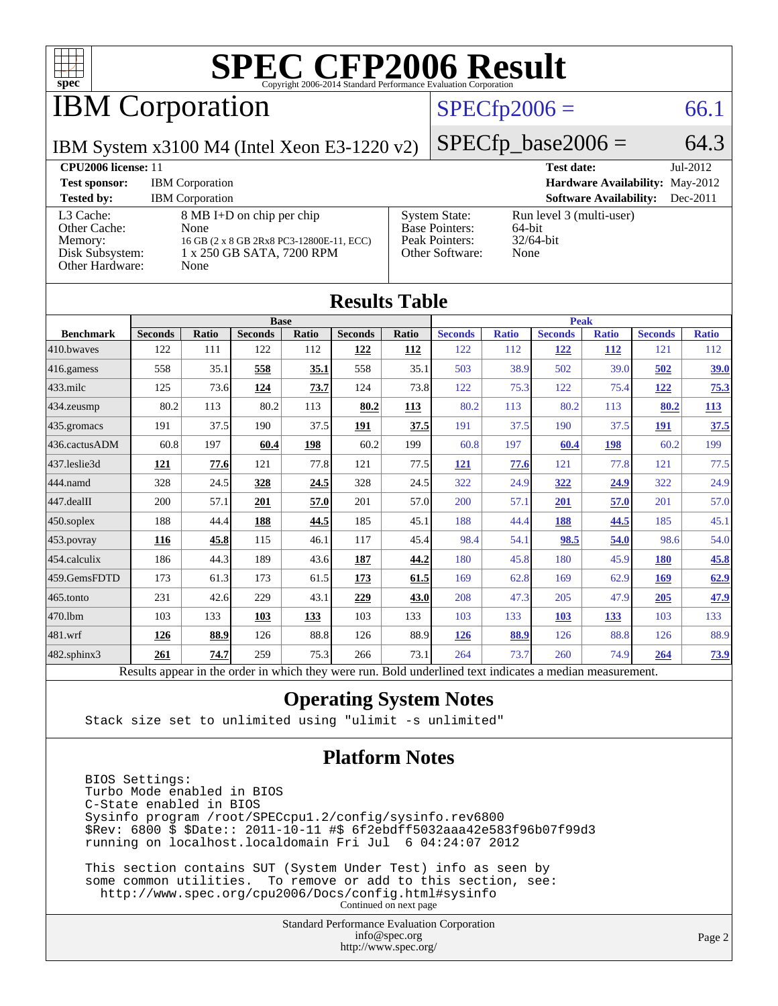

## IBM Corporation

#### $SPECfp2006 = 66.1$  $SPECfp2006 = 66.1$

IBM System x3100 M4 (Intel Xeon E3-1220 v2)

 $SPECfp\_base2006 = 64.3$ 

| <b>CPU2006 license: 11</b>                                                 |                                                                                                                    |                                                                                    | <b>Test date:</b><br>Jul-2012                              |  |
|----------------------------------------------------------------------------|--------------------------------------------------------------------------------------------------------------------|------------------------------------------------------------------------------------|------------------------------------------------------------|--|
| <b>Test sponsor:</b>                                                       | <b>IBM</b> Corporation                                                                                             |                                                                                    | <b>Hardware Availability: May-2012</b>                     |  |
| <b>Tested by:</b>                                                          | <b>IBM</b> Corporation                                                                                             |                                                                                    | <b>Software Availability:</b><br>$Dec-2011$                |  |
| L3 Cache:<br>Other Cache:<br>Memory:<br>Disk Subsystem:<br>Other Hardware: | 8 MB I+D on chip per chip<br>None<br>16 GB (2 x 8 GB 2Rx8 PC3-12800E-11, ECC)<br>1 x 250 GB SATA, 7200 RPM<br>None | <b>System State:</b><br><b>Base Pointers:</b><br>Peak Pointers:<br>Other Software: | Run level 3 (multi-user)<br>64-bit<br>$32/64$ -bit<br>None |  |

| <b>Results Table</b>                                                                                     |                |              |                |             |                |       |                |              |                |              |                |              |
|----------------------------------------------------------------------------------------------------------|----------------|--------------|----------------|-------------|----------------|-------|----------------|--------------|----------------|--------------|----------------|--------------|
|                                                                                                          | <b>Base</b>    |              |                | <b>Peak</b> |                |       |                |              |                |              |                |              |
| <b>Benchmark</b>                                                                                         | <b>Seconds</b> | <b>Ratio</b> | <b>Seconds</b> | Ratio       | <b>Seconds</b> | Ratio | <b>Seconds</b> | <b>Ratio</b> | <b>Seconds</b> | <b>Ratio</b> | <b>Seconds</b> | <b>Ratio</b> |
| 410.bwayes                                                                                               | 122            | 111          | 122            | 112         | 122            | 112   | 122            | 112          | 122            | <b>112</b>   | 121            | 112          |
| 416.gamess                                                                                               | 558            | 35.1         | 558            | 35.1        | 558            | 35.1  | 503            | 38.9         | 502            | 39.0         | 502            | 39.0         |
| $433$ .milc                                                                                              | 125            | 73.6         | 124            | 73.7        | 124            | 73.8  | 122            | 75.3         | 122            | 75.4         | 122            | 75.3         |
| 434.zeusmp                                                                                               | 80.2           | 113          | 80.2           | 113         | 80.2           | 113   | 80.2           | 113          | 80.2           | 113          | 80.2           | <b>113</b>   |
| 435 gromacs                                                                                              | 191            | 37.5         | 190            | 37.5        | 191            | 37.5  | 191            | 37.5         | 190            | 37.5         | <b>191</b>     | 37.5         |
| 436.cactusADM                                                                                            | 60.8           | 197          | 60.4           | 198         | 60.2           | 199   | 60.8           | 197          | 60.4           | 198          | 60.2           | 199          |
| 437.leslie3d                                                                                             | 121            | 77.6         | 121            | 77.8        | 121            | 77.5  | 121            | 77.6         | 121            | 77.8         | 121            | 77.5         |
| 444.namd                                                                                                 | 328            | 24.5         | 328            | 24.5        | 328            | 24.5  | 322            | 24.9         | 322            | 24.9         | 322            | 24.9         |
| 447.dealII                                                                                               | 200            | 57.1         | 201            | 57.0        | 201            | 57.0  | 200            | 57.1         | 201            | 57.0         | 201            | 57.0         |
| $450$ .soplex                                                                                            | 188            | 44.4         | 188            | 44.5        | 185            | 45.1  | 188            | 44.4         | 188            | 44.5         | 185            | 45.1         |
| 453.povray                                                                                               | 116            | 45.8         | 115            | 46.1        | 117            | 45.4  | 98.4           | 54.1         | 98.5           | 54.0         | 98.6           | 54.0         |
| 454.calculix                                                                                             | 186            | 44.3         | 189            | 43.6        | 187            | 44.2  | 180            | 45.8         | 180            | 45.9         | <b>180</b>     | 45.8         |
| 459.GemsFDTD                                                                                             | 173            | 61.3         | 173            | 61.5        | 173            | 61.5  | 169            | 62.8         | 169            | 62.9         | 169            | 62.9         |
| 465.tonto                                                                                                | 231            | 42.6         | 229            | 43.1        | 229            | 43.0  | 208            | 47.3         | 205            | 47.9         | 205            | 47.9         |
| 470.1bm                                                                                                  | 103            | 133          | 103            | 133         | 103            | 133   | 103            | 133          | 103            | 133          | 103            | 133          |
| 481.wrf                                                                                                  | 126            | 88.9         | 126            | 88.8        | 126            | 88.9  | 126            | 88.9         | 126            | 88.8         | 126            | 88.9         |
| $482$ .sphinx $3$                                                                                        | 261            | 74.7         | 259            | 75.3        | 266            | 73.1  | 264            | 73.7         | 260            | 74.9         | 264            | <u>73.9</u>  |
| Results appear in the order in which they were run. Bold underlined text indicates a median measurement. |                |              |                |             |                |       |                |              |                |              |                |              |

#### **[Operating System Notes](http://www.spec.org/auto/cpu2006/Docs/result-fields.html#OperatingSystemNotes)**

Stack size set to unlimited using "ulimit -s unlimited"

#### **[Platform Notes](http://www.spec.org/auto/cpu2006/Docs/result-fields.html#PlatformNotes)**

 BIOS Settings: Turbo Mode enabled in BIOS C-State enabled in BIOS Sysinfo program /root/SPECcpu1.2/config/sysinfo.rev6800 \$Rev: 6800 \$ \$Date:: 2011-10-11 #\$ 6f2ebdff5032aaa42e583f96b07f99d3 running on localhost.localdomain Fri Jul 6 04:24:07 2012

 This section contains SUT (System Under Test) info as seen by some common utilities. To remove or add to this section, see: <http://www.spec.org/cpu2006/Docs/config.html#sysinfo> Continued on next page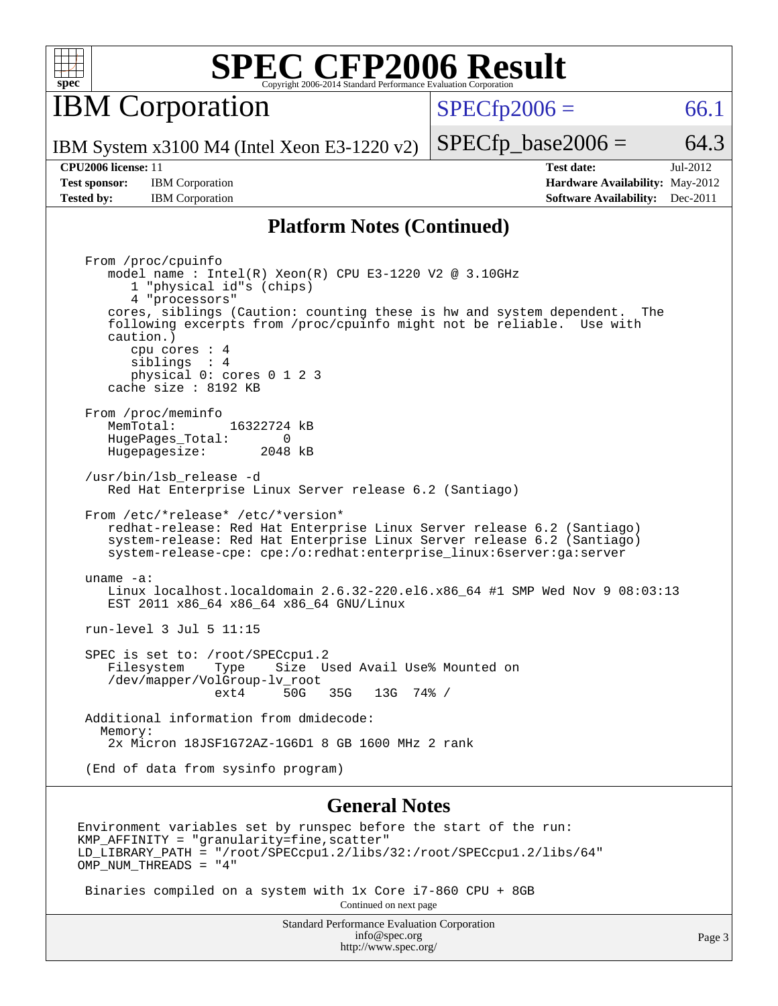

**IBM** Corporation

 $SPECTp2006 = 66.1$ 

IBM System x3100 M4 (Intel Xeon E3-1220 v2)

**[Test sponsor:](http://www.spec.org/auto/cpu2006/Docs/result-fields.html#Testsponsor)** IBM Corporation **[Hardware Availability:](http://www.spec.org/auto/cpu2006/Docs/result-fields.html#HardwareAvailability)** May-2012

 $SPECTp\_base2006 = 64.3$ **[CPU2006 license:](http://www.spec.org/auto/cpu2006/Docs/result-fields.html#CPU2006license)** 11 **[Test date:](http://www.spec.org/auto/cpu2006/Docs/result-fields.html#Testdate)** Jul-2012

**[Tested by:](http://www.spec.org/auto/cpu2006/Docs/result-fields.html#Testedby)** IBM Corporation **[Software Availability:](http://www.spec.org/auto/cpu2006/Docs/result-fields.html#SoftwareAvailability)** Dec-2011

#### **[Platform Notes \(Continued\)](http://www.spec.org/auto/cpu2006/Docs/result-fields.html#PlatformNotes)**

 From /proc/cpuinfo model name : Intel(R) Xeon(R) CPU E3-1220 V2 @ 3.10GHz 1 "physical id"s (chips) 4 "processors" cores, siblings (Caution: counting these is hw and system dependent. The following excerpts from /proc/cpuinfo might not be reliable. Use with caution.) cpu cores : 4 siblings : 4 physical 0: cores 0 1 2 3 cache size : 8192 KB From /proc/meminfo<br>MemTotal: 16322724 kB HugePages\_Total: 0<br>Hugepagesize: 2048 kB Hugepagesize: /usr/bin/lsb\_release -d Red Hat Enterprise Linux Server release 6.2 (Santiago) From /etc/\*release\* /etc/\*version\* redhat-release: Red Hat Enterprise Linux Server release 6.2 (Santiago) system-release: Red Hat Enterprise Linux Server release 6.2 (Santiago) system-release-cpe: cpe:/o:redhat:enterprise\_linux:6server:ga:server uname -a: Linux localhost.localdomain 2.6.32-220.el6.x86\_64 #1 SMP Wed Nov 9 08:03:13 EST 2011 x86\_64 x86\_64 x86\_64 GNU/Linux run-level 3 Jul 5 11:15 SPEC is set to: /root/SPECcpul.2<br>Filesystem Type Size U Type Size Used Avail Use% Mounted on /dev/mapper/VolGroup-lv\_root ext4 50G 35G 13G 74% / Additional information from dmidecode: Memory: 2x Micron 18JSF1G72AZ-1G6D1 8 GB 1600 MHz 2 rank (End of data from sysinfo program)

#### **[General Notes](http://www.spec.org/auto/cpu2006/Docs/result-fields.html#GeneralNotes)**

Environment variables set by runspec before the start of the run:  $KMP$  AFFINITY = "granularity=fine, scatter" LD\_LIBRARY\_PATH = "/root/SPECcpu1.2/libs/32:/root/SPECcpu1.2/libs/64" OMP\_NUM\_THREADS = "4"

 Binaries compiled on a system with 1x Core i7-860 CPU + 8GB Continued on next page

> Standard Performance Evaluation Corporation [info@spec.org](mailto:info@spec.org) <http://www.spec.org/>

Page 3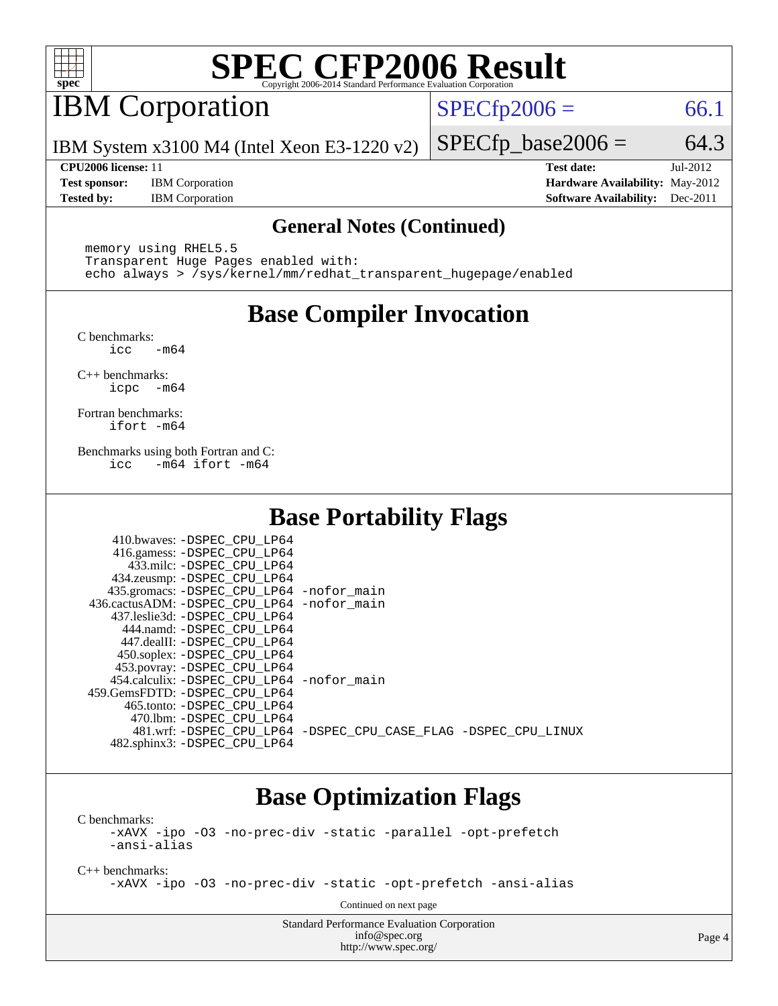

## IBM Corporation

 $SPECTp2006 = 66.1$ 

IBM System x3100 M4 (Intel Xeon E3-1220 v2)

**[Test sponsor:](http://www.spec.org/auto/cpu2006/Docs/result-fields.html#Testsponsor)** IBM Corporation **[Hardware Availability:](http://www.spec.org/auto/cpu2006/Docs/result-fields.html#HardwareAvailability)** May-2012

**[CPU2006 license:](http://www.spec.org/auto/cpu2006/Docs/result-fields.html#CPU2006license)** 11 **[Test date:](http://www.spec.org/auto/cpu2006/Docs/result-fields.html#Testdate)** Jul-2012 **[Tested by:](http://www.spec.org/auto/cpu2006/Docs/result-fields.html#Testedby)** IBM Corporation **[Software Availability:](http://www.spec.org/auto/cpu2006/Docs/result-fields.html#SoftwareAvailability)** Dec-2011

 $SPECTp\_base2006 = 64.3$ 

#### **[General Notes \(Continued\)](http://www.spec.org/auto/cpu2006/Docs/result-fields.html#GeneralNotes)**

 memory using RHEL5.5 Transparent Huge Pages enabled with: echo always > /sys/kernel/mm/redhat\_transparent\_hugepage/enabled

## **[Base Compiler Invocation](http://www.spec.org/auto/cpu2006/Docs/result-fields.html#BaseCompilerInvocation)**

[C benchmarks](http://www.spec.org/auto/cpu2006/Docs/result-fields.html#Cbenchmarks):  $\text{icc}$   $-\text{m64}$ 

[C++ benchmarks:](http://www.spec.org/auto/cpu2006/Docs/result-fields.html#CXXbenchmarks) [icpc -m64](http://www.spec.org/cpu2006/results/res2012q3/cpu2006-20120710-23530.flags.html#user_CXXbase_intel_icpc_64bit_bedb90c1146cab66620883ef4f41a67e)

[Fortran benchmarks](http://www.spec.org/auto/cpu2006/Docs/result-fields.html#Fortranbenchmarks): [ifort -m64](http://www.spec.org/cpu2006/results/res2012q3/cpu2006-20120710-23530.flags.html#user_FCbase_intel_ifort_64bit_ee9d0fb25645d0210d97eb0527dcc06e)

[Benchmarks using both Fortran and C](http://www.spec.org/auto/cpu2006/Docs/result-fields.html#BenchmarksusingbothFortranandC): [icc -m64](http://www.spec.org/cpu2006/results/res2012q3/cpu2006-20120710-23530.flags.html#user_CC_FCbase_intel_icc_64bit_0b7121f5ab7cfabee23d88897260401c) [ifort -m64](http://www.spec.org/cpu2006/results/res2012q3/cpu2006-20120710-23530.flags.html#user_CC_FCbase_intel_ifort_64bit_ee9d0fb25645d0210d97eb0527dcc06e)

## **[Base Portability Flags](http://www.spec.org/auto/cpu2006/Docs/result-fields.html#BasePortabilityFlags)**

| 410.bwaves: -DSPEC CPU LP64                 |                                                                |
|---------------------------------------------|----------------------------------------------------------------|
| 416.gamess: -DSPEC_CPU_LP64                 |                                                                |
| 433.milc: -DSPEC CPU LP64                   |                                                                |
| 434.zeusmp: -DSPEC_CPU_LP64                 |                                                                |
| 435.gromacs: -DSPEC_CPU_LP64 -nofor_main    |                                                                |
| 436.cactusADM: -DSPEC CPU LP64 -nofor main  |                                                                |
| 437.leslie3d: -DSPEC CPU LP64               |                                                                |
| 444.namd: -DSPEC CPU LP64                   |                                                                |
| 447.dealII: -DSPEC CPU LP64                 |                                                                |
| 450.soplex: -DSPEC_CPU_LP64                 |                                                                |
| 453.povray: -DSPEC_CPU_LP64                 |                                                                |
| 454.calculix: - DSPEC CPU LP64 - nofor main |                                                                |
| 459.GemsFDTD: - DSPEC_CPU LP64              |                                                                |
| 465.tonto: - DSPEC CPU LP64                 |                                                                |
| 470.1bm: - DSPEC CPU LP64                   |                                                                |
|                                             | 481.wrf: -DSPEC CPU_LP64 -DSPEC_CPU_CASE_FLAG -DSPEC_CPU_LINUX |
| 482.sphinx3: -DSPEC CPU LP64                |                                                                |

### **[Base Optimization Flags](http://www.spec.org/auto/cpu2006/Docs/result-fields.html#BaseOptimizationFlags)**

[C benchmarks](http://www.spec.org/auto/cpu2006/Docs/result-fields.html#Cbenchmarks): [-xAVX](http://www.spec.org/cpu2006/results/res2012q3/cpu2006-20120710-23530.flags.html#user_CCbase_f-xAVX) [-ipo](http://www.spec.org/cpu2006/results/res2012q3/cpu2006-20120710-23530.flags.html#user_CCbase_f-ipo) [-O3](http://www.spec.org/cpu2006/results/res2012q3/cpu2006-20120710-23530.flags.html#user_CCbase_f-O3) [-no-prec-div](http://www.spec.org/cpu2006/results/res2012q3/cpu2006-20120710-23530.flags.html#user_CCbase_f-no-prec-div) [-static](http://www.spec.org/cpu2006/results/res2012q3/cpu2006-20120710-23530.flags.html#user_CCbase_f-static) [-parallel](http://www.spec.org/cpu2006/results/res2012q3/cpu2006-20120710-23530.flags.html#user_CCbase_f-parallel) [-opt-prefetch](http://www.spec.org/cpu2006/results/res2012q3/cpu2006-20120710-23530.flags.html#user_CCbase_f-opt-prefetch)

[-ansi-alias](http://www.spec.org/cpu2006/results/res2012q3/cpu2006-20120710-23530.flags.html#user_CCbase_f-ansi-alias)

[C++ benchmarks:](http://www.spec.org/auto/cpu2006/Docs/result-fields.html#CXXbenchmarks)

[-xAVX](http://www.spec.org/cpu2006/results/res2012q3/cpu2006-20120710-23530.flags.html#user_CXXbase_f-xAVX) [-ipo](http://www.spec.org/cpu2006/results/res2012q3/cpu2006-20120710-23530.flags.html#user_CXXbase_f-ipo) [-O3](http://www.spec.org/cpu2006/results/res2012q3/cpu2006-20120710-23530.flags.html#user_CXXbase_f-O3) [-no-prec-div](http://www.spec.org/cpu2006/results/res2012q3/cpu2006-20120710-23530.flags.html#user_CXXbase_f-no-prec-div) [-static](http://www.spec.org/cpu2006/results/res2012q3/cpu2006-20120710-23530.flags.html#user_CXXbase_f-static) [-opt-prefetch](http://www.spec.org/cpu2006/results/res2012q3/cpu2006-20120710-23530.flags.html#user_CXXbase_f-opt-prefetch) [-ansi-alias](http://www.spec.org/cpu2006/results/res2012q3/cpu2006-20120710-23530.flags.html#user_CXXbase_f-ansi-alias)

Continued on next page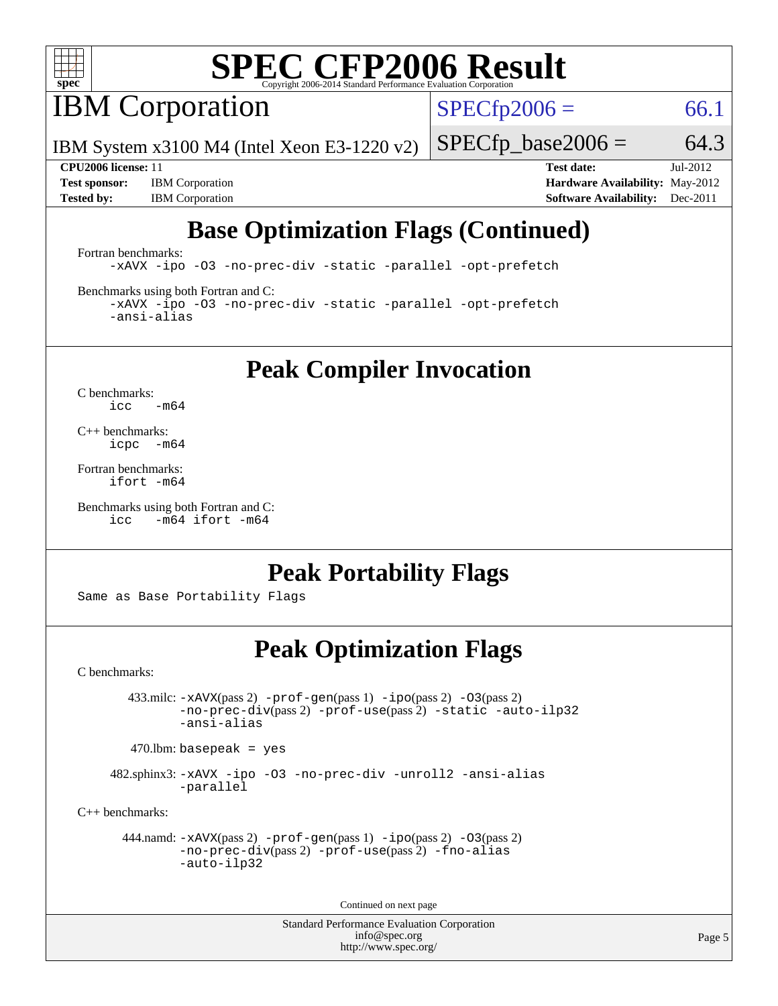

**IBM** Corporation

 $SPECTp2006 = 66.1$ 

IBM System x3100 M4 (Intel Xeon E3-1220 v2)

**[Tested by:](http://www.spec.org/auto/cpu2006/Docs/result-fields.html#Testedby)** IBM Corporation **[Software Availability:](http://www.spec.org/auto/cpu2006/Docs/result-fields.html#SoftwareAvailability)** Dec-2011

 $SPECfp\_base2006 = 64.3$ **[CPU2006 license:](http://www.spec.org/auto/cpu2006/Docs/result-fields.html#CPU2006license)** 11 **[Test date:](http://www.spec.org/auto/cpu2006/Docs/result-fields.html#Testdate)** Jul-2012 **[Test sponsor:](http://www.spec.org/auto/cpu2006/Docs/result-fields.html#Testsponsor)** IBM Corporation **[Hardware Availability:](http://www.spec.org/auto/cpu2006/Docs/result-fields.html#HardwareAvailability)** May-2012

## **[Base Optimization Flags \(Continued\)](http://www.spec.org/auto/cpu2006/Docs/result-fields.html#BaseOptimizationFlags)**

[Fortran benchmarks](http://www.spec.org/auto/cpu2006/Docs/result-fields.html#Fortranbenchmarks):

[-xAVX](http://www.spec.org/cpu2006/results/res2012q3/cpu2006-20120710-23530.flags.html#user_FCbase_f-xAVX) [-ipo](http://www.spec.org/cpu2006/results/res2012q3/cpu2006-20120710-23530.flags.html#user_FCbase_f-ipo) [-O3](http://www.spec.org/cpu2006/results/res2012q3/cpu2006-20120710-23530.flags.html#user_FCbase_f-O3) [-no-prec-div](http://www.spec.org/cpu2006/results/res2012q3/cpu2006-20120710-23530.flags.html#user_FCbase_f-no-prec-div) [-static](http://www.spec.org/cpu2006/results/res2012q3/cpu2006-20120710-23530.flags.html#user_FCbase_f-static) [-parallel](http://www.spec.org/cpu2006/results/res2012q3/cpu2006-20120710-23530.flags.html#user_FCbase_f-parallel) [-opt-prefetch](http://www.spec.org/cpu2006/results/res2012q3/cpu2006-20120710-23530.flags.html#user_FCbase_f-opt-prefetch)

[Benchmarks using both Fortran and C](http://www.spec.org/auto/cpu2006/Docs/result-fields.html#BenchmarksusingbothFortranandC):

[-xAVX](http://www.spec.org/cpu2006/results/res2012q3/cpu2006-20120710-23530.flags.html#user_CC_FCbase_f-xAVX) [-ipo](http://www.spec.org/cpu2006/results/res2012q3/cpu2006-20120710-23530.flags.html#user_CC_FCbase_f-ipo) [-O3](http://www.spec.org/cpu2006/results/res2012q3/cpu2006-20120710-23530.flags.html#user_CC_FCbase_f-O3) [-no-prec-div](http://www.spec.org/cpu2006/results/res2012q3/cpu2006-20120710-23530.flags.html#user_CC_FCbase_f-no-prec-div) [-static](http://www.spec.org/cpu2006/results/res2012q3/cpu2006-20120710-23530.flags.html#user_CC_FCbase_f-static) [-parallel](http://www.spec.org/cpu2006/results/res2012q3/cpu2006-20120710-23530.flags.html#user_CC_FCbase_f-parallel) [-opt-prefetch](http://www.spec.org/cpu2006/results/res2012q3/cpu2006-20120710-23530.flags.html#user_CC_FCbase_f-opt-prefetch) [-ansi-alias](http://www.spec.org/cpu2006/results/res2012q3/cpu2006-20120710-23530.flags.html#user_CC_FCbase_f-ansi-alias)

**[Peak Compiler Invocation](http://www.spec.org/auto/cpu2006/Docs/result-fields.html#PeakCompilerInvocation)**

[C benchmarks](http://www.spec.org/auto/cpu2006/Docs/result-fields.html#Cbenchmarks):  $\text{icc}$  -m64

[C++ benchmarks:](http://www.spec.org/auto/cpu2006/Docs/result-fields.html#CXXbenchmarks) [icpc -m64](http://www.spec.org/cpu2006/results/res2012q3/cpu2006-20120710-23530.flags.html#user_CXXpeak_intel_icpc_64bit_bedb90c1146cab66620883ef4f41a67e)

[Fortran benchmarks](http://www.spec.org/auto/cpu2006/Docs/result-fields.html#Fortranbenchmarks): [ifort -m64](http://www.spec.org/cpu2006/results/res2012q3/cpu2006-20120710-23530.flags.html#user_FCpeak_intel_ifort_64bit_ee9d0fb25645d0210d97eb0527dcc06e)

[Benchmarks using both Fortran and C](http://www.spec.org/auto/cpu2006/Docs/result-fields.html#BenchmarksusingbothFortranandC): [icc -m64](http://www.spec.org/cpu2006/results/res2012q3/cpu2006-20120710-23530.flags.html#user_CC_FCpeak_intel_icc_64bit_0b7121f5ab7cfabee23d88897260401c) [ifort -m64](http://www.spec.org/cpu2006/results/res2012q3/cpu2006-20120710-23530.flags.html#user_CC_FCpeak_intel_ifort_64bit_ee9d0fb25645d0210d97eb0527dcc06e)

### **[Peak Portability Flags](http://www.spec.org/auto/cpu2006/Docs/result-fields.html#PeakPortabilityFlags)**

Same as Base Portability Flags

### **[Peak Optimization Flags](http://www.spec.org/auto/cpu2006/Docs/result-fields.html#PeakOptimizationFlags)**

[C benchmarks](http://www.spec.org/auto/cpu2006/Docs/result-fields.html#Cbenchmarks):

 433.milc: [-xAVX](http://www.spec.org/cpu2006/results/res2012q3/cpu2006-20120710-23530.flags.html#user_peakPASS2_CFLAGSPASS2_LDFLAGS433_milc_f-xAVX)(pass 2) [-prof-gen](http://www.spec.org/cpu2006/results/res2012q3/cpu2006-20120710-23530.flags.html#user_peakPASS1_CFLAGSPASS1_LDFLAGS433_milc_prof_gen_e43856698f6ca7b7e442dfd80e94a8fc)(pass 1) [-ipo](http://www.spec.org/cpu2006/results/res2012q3/cpu2006-20120710-23530.flags.html#user_peakPASS2_CFLAGSPASS2_LDFLAGS433_milc_f-ipo)(pass 2) [-O3](http://www.spec.org/cpu2006/results/res2012q3/cpu2006-20120710-23530.flags.html#user_peakPASS2_CFLAGSPASS2_LDFLAGS433_milc_f-O3)(pass 2) [-no-prec-div](http://www.spec.org/cpu2006/results/res2012q3/cpu2006-20120710-23530.flags.html#user_peakPASS2_CFLAGSPASS2_LDFLAGS433_milc_f-no-prec-div)(pass 2) [-prof-use](http://www.spec.org/cpu2006/results/res2012q3/cpu2006-20120710-23530.flags.html#user_peakPASS2_CFLAGSPASS2_LDFLAGS433_milc_prof_use_bccf7792157ff70d64e32fe3e1250b55)(pass 2) [-static](http://www.spec.org/cpu2006/results/res2012q3/cpu2006-20120710-23530.flags.html#user_peakOPTIMIZE433_milc_f-static) [-auto-ilp32](http://www.spec.org/cpu2006/results/res2012q3/cpu2006-20120710-23530.flags.html#user_peakCOPTIMIZE433_milc_f-auto-ilp32) [-ansi-alias](http://www.spec.org/cpu2006/results/res2012q3/cpu2006-20120710-23530.flags.html#user_peakCOPTIMIZE433_milc_f-ansi-alias)

 $470.$ lbm: basepeak = yes

 482.sphinx3: [-xAVX](http://www.spec.org/cpu2006/results/res2012q3/cpu2006-20120710-23530.flags.html#user_peakOPTIMIZE482_sphinx3_f-xAVX) [-ipo](http://www.spec.org/cpu2006/results/res2012q3/cpu2006-20120710-23530.flags.html#user_peakOPTIMIZE482_sphinx3_f-ipo) [-O3](http://www.spec.org/cpu2006/results/res2012q3/cpu2006-20120710-23530.flags.html#user_peakOPTIMIZE482_sphinx3_f-O3) [-no-prec-div](http://www.spec.org/cpu2006/results/res2012q3/cpu2006-20120710-23530.flags.html#user_peakOPTIMIZE482_sphinx3_f-no-prec-div) [-unroll2](http://www.spec.org/cpu2006/results/res2012q3/cpu2006-20120710-23530.flags.html#user_peakCOPTIMIZE482_sphinx3_f-unroll_784dae83bebfb236979b41d2422d7ec2) [-ansi-alias](http://www.spec.org/cpu2006/results/res2012q3/cpu2006-20120710-23530.flags.html#user_peakCOPTIMIZE482_sphinx3_f-ansi-alias) [-parallel](http://www.spec.org/cpu2006/results/res2012q3/cpu2006-20120710-23530.flags.html#user_peakCOPTIMIZE482_sphinx3_f-parallel)

[C++ benchmarks:](http://www.spec.org/auto/cpu2006/Docs/result-fields.html#CXXbenchmarks)

```
 444.namd: -xAVX(pass 2) -prof-gen(pass 1) -ipo(pass 2) -O3(pass 2)
         -no-prec-div(pass 2) -prof-use(pass 2) -fno-alias
         -auto-ilp32
```
Continued on next page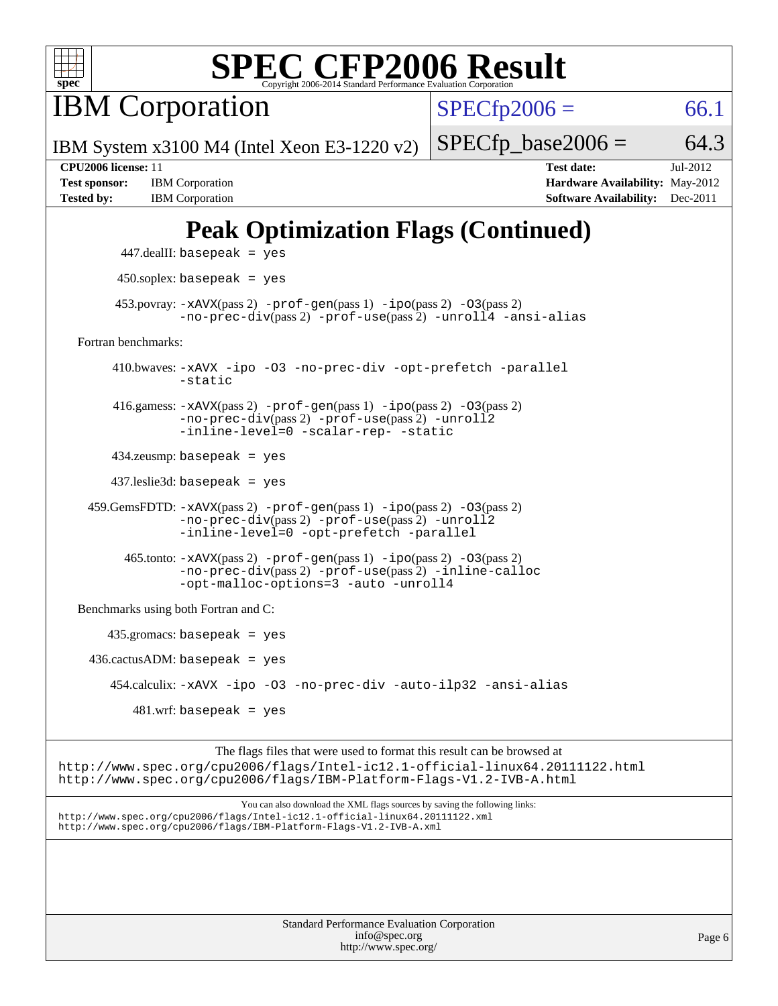

**IBM** Corporation

 $SPECfp2006 = 66.1$  $SPECfp2006 = 66.1$ 

IBM System x3100 M4 (Intel Xeon E3-1220 v2)

**[Tested by:](http://www.spec.org/auto/cpu2006/Docs/result-fields.html#Testedby)** IBM Corporation **[Software Availability:](http://www.spec.org/auto/cpu2006/Docs/result-fields.html#SoftwareAvailability)** Dec-2011

**[CPU2006 license:](http://www.spec.org/auto/cpu2006/Docs/result-fields.html#CPU2006license)** 11 **[Test date:](http://www.spec.org/auto/cpu2006/Docs/result-fields.html#Testdate)** Jul-2012 **[Test sponsor:](http://www.spec.org/auto/cpu2006/Docs/result-fields.html#Testsponsor)** IBM Corporation **[Hardware Availability:](http://www.spec.org/auto/cpu2006/Docs/result-fields.html#HardwareAvailability)** May-2012

 $SPECTp\_base2006 = 64.3$ 

## **[Peak Optimization Flags \(Continued\)](http://www.spec.org/auto/cpu2006/Docs/result-fields.html#PeakOptimizationFlags)**

```
 447.dealII: basepeak = yes
       450.soplex: basepeak = yes
     453.povray: -xAVX(pass 2) -prof-gen(pass 1) -ipo(pass 2) -03(pass 2)
               -no-prec-div(pass 2) -prof-use(pass 2) -unroll4 -ansi-alias
Fortran benchmarks: 
      410.bwaves: -xAVX -ipo -O3 -no-prec-div -opt-prefetch -parallel
               -static
      416.gamess: -xAVX(pass 2) -prof-gen(pass 1) -ipo(pass 2) -O3(pass 2)
               -no-prec-div(pass 2) -prof-use(pass 2) -unroll2
               -inline-level=0 -scalar-rep- -static
      434.zeusmp: basepeak = yes
      437.leslie3d: basepeak = yes
  459.GemsFDTD: -xAVX(pass 2) -prof-gen(pass 1) -ipo(pass 2) -O3(pass 2)
               -no-prec-div(pass 2) -prof-use(pass 2) -unroll2
               -inline-level=0 -opt-prefetch -parallel
        465.tonto: -xAVX(pass 2) -prof-gen(pass 1) -ipo(pass 2) -O3(pass 2)
               -no-prec-div(pass 2) -prof-use(pass 2) -inline-calloc
               -opt-malloc-options=3-auto-unroll4
Benchmarks using both Fortran and C: 
     435.gromacs: basepeak = yes
 436.cactusADM: basepeak = yes 454.calculix: -xAVX -ipo -O3 -no-prec-div -auto-ilp32 -ansi-alias
        481 \text{.m}: basepeak = yes
```
The flags files that were used to format this result can be browsed at <http://www.spec.org/cpu2006/flags/Intel-ic12.1-official-linux64.20111122.html> <http://www.spec.org/cpu2006/flags/IBM-Platform-Flags-V1.2-IVB-A.html>

You can also download the XML flags sources by saving the following links: <http://www.spec.org/cpu2006/flags/Intel-ic12.1-official-linux64.20111122.xml> <http://www.spec.org/cpu2006/flags/IBM-Platform-Flags-V1.2-IVB-A.xml>